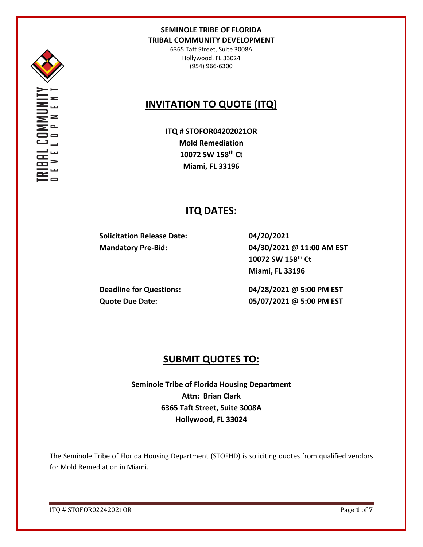

6365 Taft Street, Suite 3008A Hollywood, FL 33024 (954) 966-6300

# **INVITATION TO QUOTE (ITQ)**

**ITQ # STOFOR04202021OR Mold Remediation 10072 SW 158th Ct Miami, FL 33196**

# **ITQ DATES:**

**Solicitation Release Date: 04/20/2021**

**Mandatory Pre-Bid: 04/30/2021 @ 11:00 AM EST 10072 SW 158th Ct Miami, FL 33196**

**Deadline for Questions: 04/28/2021 @ 5:00 PM EST Quote Due Date: 05/07/2021 @ 5:00 PM EST**

## **SUBMIT QUOTES TO:**

**Seminole Tribe of Florida Housing Department Attn: Brian Clark 6365 Taft Street, Suite 3008A Hollywood, FL 33024**

The Seminole Tribe of Florida Housing Department (STOFHD) is soliciting quotes from qualified vendors for Mold Remediation in Miami.

ITQ # STOFOR02242021OR Page **1** of **7**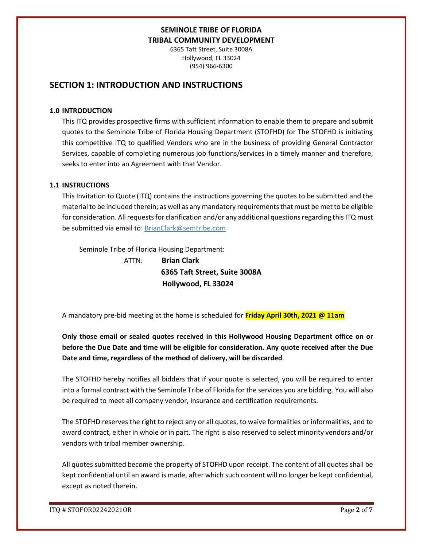6365 Taft Street, Suite 3008A Hollywood, FL 33024 (954) 966-6300

## **SECTION 1: INTRODUCTION AND INSTRUCTIONS**

#### **1.0 INTRODUCTION**

This ITQ provides prospective firms with sufficient information to enable them to prepare and submit quotes to the Seminole Tribe of Florida Housing Department (STOFHD) for The STOFHD is initiating this competitive ITQ to qualified Vendors who are in the business of providing General Contractor Services, capable of completing numerous job functions/services in a timely manner and therefore, seeks to enter into an Agreement with that Vendor.

### **1.1 INSTRUCTIONS**

This Invitation to Quote (ITQ) contains the instructions governing the quotes to be submitted and the material to be included therein; as well as any mandatory requirements that must be met to be eligible for consideration. All requests for clarification and/or any additional questions regarding this ITQ must be submitted via email to: BrianClark@semtribe.com

Seminole Tribe of Florida Housing Department:

 ATTN: **Brian Clark 6365 Taft Street, Suite 3008A Hollywood, FL 33024**

A mandatory pre-bid meeting at the home is scheduled for **Friday April 30th, 2021 @ 11am**

**Only those email or sealed quotes received in this Hollywood Housing Department office on or before the Due Date and time will be eligible for consideration. Any quote received after the Due Date and time, regardless of the method of delivery, will be discarded**.

The STOFHD hereby notifies all bidders that if your quote is selected, you will be required to enter into a formal contract with the Seminole Tribe of Florida for the services you are bidding. You will also be required to meet all company vendor, insurance and certification requirements.

The STOFHD reserves the right to reject any or all quotes, to waive formalities or informalities, and to award contract, either in whole or in part. The right is also reserved to select minority vendors and/or vendors with tribal member ownership.

All quotes submitted become the property of STOFHD upon receipt. The content of all quotes shall be kept confidential until an award is made, after which such content will no longer be kept confidential, except as noted therein.

ITQ # STOFOR02242021OR Page **2** of **7**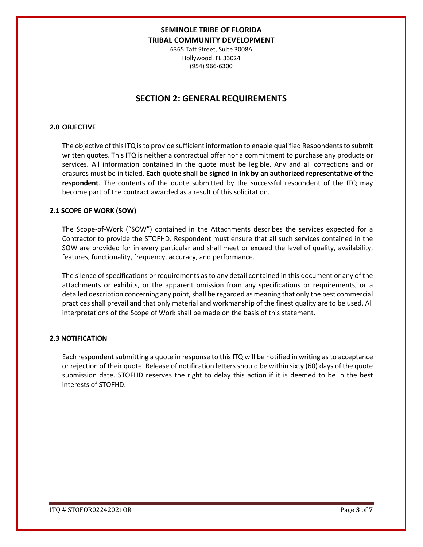6365 Taft Street, Suite 3008A Hollywood, FL 33024 (954) 966-6300

## **SECTION 2: GENERAL REQUIREMENTS**

### **2.0 OBJECTIVE**

The objective of this ITQ is to provide sufficient information to enable qualified Respondents to submit written quotes. This ITQ is neither a contractual offer nor a commitment to purchase any products or services. All information contained in the quote must be legible. Any and all corrections and or erasures must be initialed. **Each quote shall be signed in ink by an authorized representative of the respondent**. The contents of the quote submitted by the successful respondent of the ITQ may become part of the contract awarded as a result of this solicitation.

#### **2.1 SCOPE OF WORK (SOW)**

The Scope-of-Work ("SOW") contained in the Attachments describes the services expected for a Contractor to provide the STOFHD. Respondent must ensure that all such services contained in the SOW are provided for in every particular and shall meet or exceed the level of quality, availability, features, functionality, frequency, accuracy, and performance.

The silence of specifications or requirements as to any detail contained in this document or any of the attachments or exhibits, or the apparent omission from any specifications or requirements, or a detailed description concerning any point, shall be regarded as meaning that only the best commercial practices shall prevail and that only material and workmanship of the finest quality are to be used. All interpretations of the Scope of Work shall be made on the basis of this statement.

#### **2.3 NOTIFICATION**

Each respondent submitting a quote in response to this ITQ will be notified in writing as to acceptance or rejection of their quote. Release of notification letters should be within sixty (60) days of the quote submission date. STOFHD reserves the right to delay this action if it is deemed to be in the best interests of STOFHD.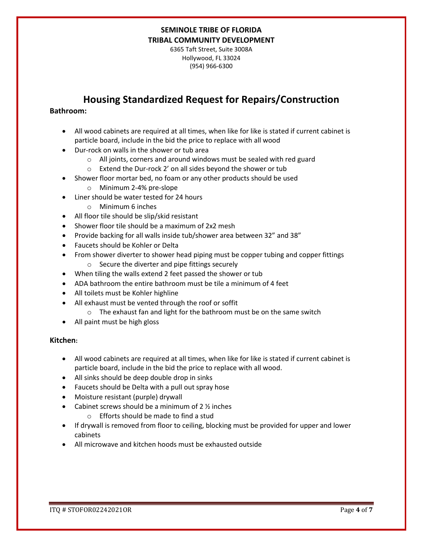6365 Taft Street, Suite 3008A Hollywood, FL 33024 (954) 966-6300

# **Housing Standardized Request for Repairs/Construction**

## **Bathroom:**

- All wood cabinets are required at all times, when like for like is stated if current cabinet is particle board, include in the bid the price to replace with all wood
- Dur-rock on walls in the shower or tub area
	- o All joints, corners and around windows must be sealed with red guard
	- o Extend the Dur-rock 2' on all sides beyond the shower or tub
- Shower floor mortar bed, no foam or any other products should be used
	- o Minimum 2-4% pre-slope
- Liner should be water tested for 24 hours
	- o Minimum 6 inches
- All floor tile should be slip/skid resistant
- Shower floor tile should be a maximum of 2x2 mesh
- Provide backing for all walls inside tub/shower area between 32" and 38"
- Faucets should be Kohler or Delta
- From shower diverter to shower head piping must be copper tubing and copper fittings
	- o Secure the diverter and pipe fittings securely
- When tiling the walls extend 2 feet passed the shower or tub
- ADA bathroom the entire bathroom must be tile a minimum of 4 feet
- All toilets must be Kohler highline
- All exhaust must be vented through the roof or soffit
	- o The exhaust fan and light for the bathroom must be on the same switch
- All paint must be high gloss

#### **Kitchen:**

- All wood cabinets are required at all times, when like for like is stated if current cabinet is particle board, include in the bid the price to replace with all wood.
- All sinks should be deep double drop in sinks
- Faucets should be Delta with a pull out spray hose
- Moisture resistant (purple) drywall
- Cabinet screws should be a minimum of  $2 \frac{1}{2}$  inches
	- o Efforts should be made to find a stud
- If drywall is removed from floor to ceiling, blocking must be provided for upper and lower cabinets
- All microwave and kitchen hoods must be exhausted outside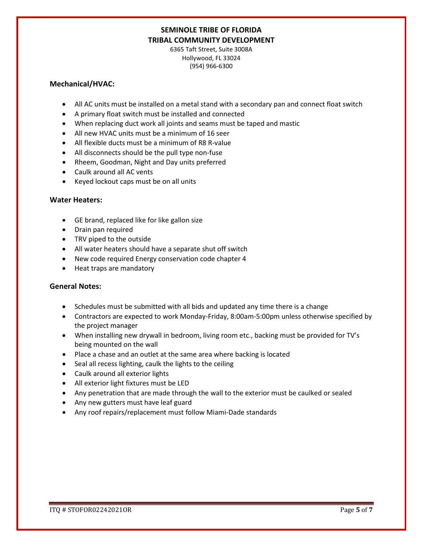6365 Taft Street, Suite 3008A Hollywood, FL 33024 (954) 966-6300

### **Mechanical/HVAC:**

- All AC units must be installed on a metal stand with a secondary pan and connect float switch
- A primary float switch must be installed and connected
- When replacing duct work all joints and seams must be taped and mastic
- All new HVAC units must be a minimum of 16 seer
- All flexible ducts must be a minimum of R8 R-value
- All disconnects should be the pull type non-fuse
- Rheem, Goodman, Night and Day units preferred
- Caulk around all AC vents
- Keyed lockout caps must be on all units

### **Water Heaters:**

- GE brand, replaced like for like gallon size
- Drain pan required
- TRV piped to the outside
- All water heaters should have a separate shut off switch
- New code required Energy conservation code chapter 4
- Heat traps are mandatory

### **General Notes:**

- Schedules must be submitted with all bids and updated any time there is a change
- Contractors are expected to work Monday-Friday, 8:00am-5:00pm unless otherwise specified by the project manager
- When installing new drywall in bedroom, living room etc., backing must be provided for TV's being mounted on the wall
- Place a chase and an outlet at the same area where backing is located
- Seal all recess lighting, caulk the lights to the ceiling
- Caulk around all exterior lights
- All exterior light fixtures must be LED
- Any penetration that are made through the wall to the exterior must be caulked or sealed
- Any new gutters must have leaf guard
- Any roof repairs/replacement must follow Miami-Dade standards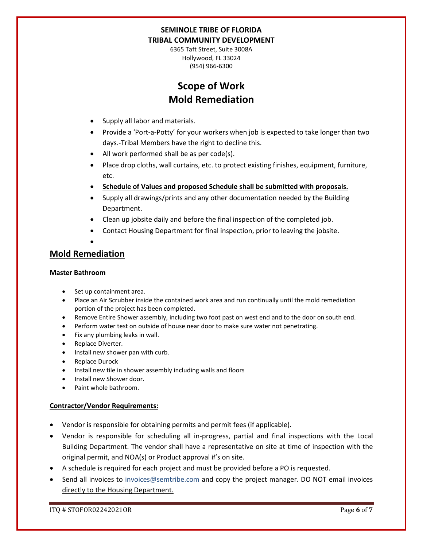6365 Taft Street, Suite 3008A Hollywood, FL 33024 (954) 966-6300

# **Scope of Work Mold Remediation**

- Supply all labor and materials.
- Provide a 'Port-a-Potty' for your workers when job is expected to take longer than two days.-Tribal Members have the right to decline this.
- All work performed shall be as per code(s).
- Place drop cloths, wall curtains, etc. to protect existing finishes, equipment, furniture, etc.
- **Schedule of Values and proposed Schedule shall be submitted with proposals.**
- Supply all drawings/prints and any other documentation needed by the Building Department.
- Clean up jobsite daily and before the final inspection of the completed job.
- Contact Housing Department for final inspection, prior to leaving the jobsite.
- •

## **Mold Remediation**

### **Master Bathroom**

- Set up containment area.
- Place an Air Scrubber inside the contained work area and run continually until the mold remediation portion of the project has been completed.
- Remove Entire Shower assembly, including two foot past on west end and to the door on south end.
- Perform water test on outside of house near door to make sure water not penetrating.
- Fix any plumbing leaks in wall.
- Replace Diverter.
- Install new shower pan with curb.
- Replace Durock
- Install new tile in shower assembly including walls and floors
- Install new Shower door.
- Paint whole bathroom.

### **Contractor/Vendor Requirements:**

- Vendor is responsible for obtaining permits and permit fees (if applicable).
- Vendor is responsible for scheduling all in-progress, partial and final inspections with the Local Building Department. The vendor shall have a representative on site at time of inspection with the original permit, and NOA(s) or Product approval #'s on site.
- A schedule is required for each project and must be provided before a PO is requested.
- Send all invoices to [invoices@semtribe.com](mailto:invoices@semtribe.com) and copy the project manager. DO NOT email invoices directly to the Housing Department.

ITQ # STOFOR02242021OR Page **6** of **7**